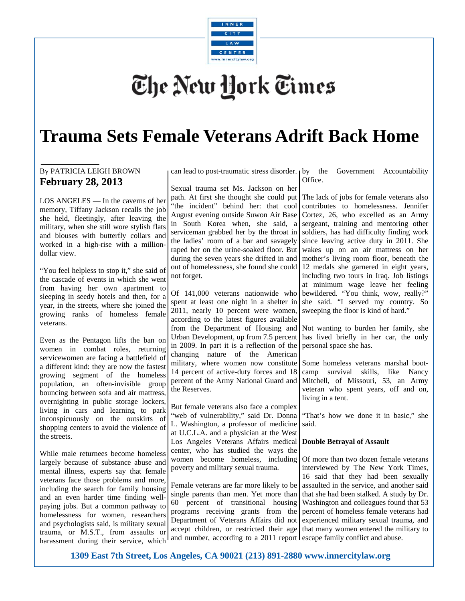

# The New Hork Times

### **Trauma Sets Female Veterans Adrift Back Home**

### By PATRICIA LEIGH BROWN **February 28, 2013**

LOS ANGELES — In the caverns of her memory, Tiffany Jackson recalls the job she held, fleetingly, after leaving the military, when she still wore stylish flats and blouses with butterfly collars and worked in a high-rise with a milliondollar view.

"You feel helpless to stop it," she said of the cascade of events in which she went from having her own apartment to sleeping in seedy hotels and then, for a year, in the streets, where she joined the growing ranks of homeless female veterans.

Even as the Pentagon lifts the ban on women in combat roles, returning servicewomen are facing a battlefield of a different kind: they are now the fastest growing segment of the homeless population, an often-invisible group bouncing between sofa and air mattress, overnighting in public storage lockers, living in cars and learning to park inconspicuously on the outskirts of shopping centers to avoid the violence of the streets.

While male returnees become homeless largely because of substance abuse and mental illness, experts say that female veterans face those problems and more, including the search for family housing and an even harder time finding wellpaying jobs. But a common pathway to homelessness for women, researchers and psychologists said, is military sexual trauma, or M.S.T., from assaults or harassment during their service, which

can lead to post-traumatic stress disorder.  $\vert$  by the Government Accountability

Sexual trauma set Ms. Jackson on her path. At first she thought she could put "the incident" behind her: that cool August evening outside Suwon Air Base in South Korea when, she said, a serviceman grabbed her by the throat in the ladies' room of a bar and savagely raped her on the urine-soaked floor. But during the seven years she drifted in and out of homelessness, she found she could not forget.

Of 141,000 veterans nationwide who spent at least one night in a shelter in 2011, nearly 10 percent were women, according to the latest figures available from the Department of Housing and Urban Development, up from 7.5 percent in 2009. In part it is a reflection of the changing nature of the American military, where women now constitute 14 percent of active-duty forces and 18 percent of the Army National Guard and the Reserves.

But female veterans also face a complex "web of vulnerability," said Dr. Donna L. Washington, a professor of medicine at U.C.L.A. and a physician at the West Los Angeles Veterans Affairs medical **Double Betrayal of Assault**  center, who has studied the ways the women become homeless, including poverty and military sexual trauma.

Female veterans are far more likely to be single parents than men. Yet more than 60 percent of transitional housing programs receiving grants from the Department of Veterans Affairs did not accept children, or restricted their age and number, according to a 2011 report escape family conflict and abuse.

Office.

The lack of jobs for female veterans also contributes to homelessness. Jennifer Cortez, 26, who excelled as an Army sergeant, training and mentoring other soldiers, has had difficulty finding work since leaving active duty in 2011. She wakes up on an air mattress on her mother's living room floor, beneath the 12 medals she garnered in eight years, including two tours in Iraq. Job listings at minimum wage leave her feeling bewildered. "You think, wow, really?" she said. "I served my country. So sweeping the floor is kind of hard."

Not wanting to burden her family, she has lived briefly in her car, the only personal space she has.

Some homeless veterans marshal bootcamp survival skills, like Nancy Mitchell, of Missouri, 53, an Army veteran who spent years, off and on, living in a tent.

"That's how we done it in basic," she said.

Of more than two dozen female veterans interviewed by The New York Times, 16 said that they had been sexually assaulted in the service, and another said that she had been stalked. A study by Dr. Washington and colleagues found that 53 percent of homeless female veterans had experienced military sexual trauma, and that many women entered the military to

**1309 East 7th Street, Los Angeles, CA 90021 (213) 891-2880 www.innercitylaw.org**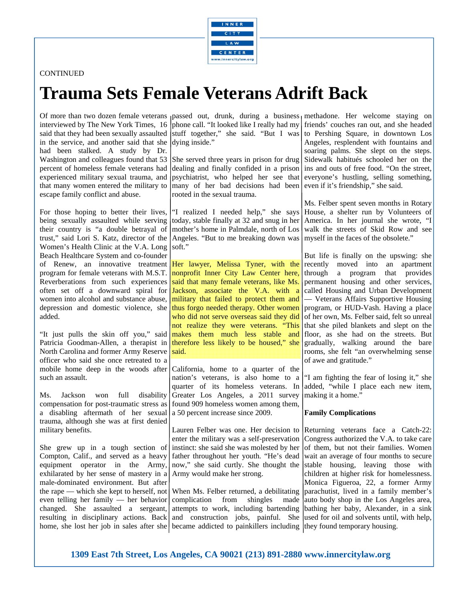

### CONTINUED

## **Trauma Sets Female Veterans Adrift Back**

interviewed by The New York Times, 16 said that they had been sexually assaulted in the service, and another said that she had been stalked. A study by Dr. Washington and colleagues found that 53 percent of homeless female veterans had experienced military sexual trauma, and that many women entered the military to escape family conflict and abuse.

For those hoping to better their lives, being sexually assaulted while serving their country is "a double betrayal of trust," said Lori S. Katz, director of the Women's Health Clinic at the V.A. Long Beach Healthcare System and co-founder of Renew, an innovative treatment Her lawyer, Melissa Tyner, with the program for female veterans with M.S.T. Reverberations from such experiences often set off a downward spiral for women into alcohol and substance abuse, depression and domestic violence, she added.

"It just pulls the skin off you," said Patricia Goodman-Allen, a therapist in North Carolina and former Army Reserve officer who said she once retreated to a mobile home deep in the woods after such an assault.

Ms. Jackson won full disability compensation for post-traumatic stress as a disabling aftermath of her sexual trauma, although she was at first denied military benefits.

She grew up in a tough section of Compton, Calif., and served as a heavy equipment operator in the Army, exhilarated by her sense of mastery in a male-dominated environment. But after the rape — which she kept to herself, not even telling her family — her behavior changed. She assaulted a sergeant, resulting in disciplinary actions. Back home, she lost her job in sales after she became addicted to painkillers including

Of more than two dozen female veterans passed out, drunk, during a business phone call. "It looked like I really had my stuff together," she said. "But I was dying inside."

> She served three years in prison for drug dealing and finally confided in a prison psychiatrist, who helped her see that many of her bad decisions had been rooted in the sexual trauma.

> "I realized I needed help," she says today, stable finally at 32 and snug in her mother's home in Palmdale, north of Los Angeles. "But to me breaking down was soft."

> nonprofit Inner City Law Center here, said that many female veterans, like Ms. Jackson, associate the V.A. with a military that failed to protect them and thus forgo needed therapy. Other women who did not serve overseas said they did not realize they were veterans. "This makes them much less stable and therefore less likely to be housed," she said.

> California, home to a quarter of the nation's veterans, is also home to a quarter of its homeless veterans. In Greater Los Angeles, a 2011 survey found 909 homeless women among them, a 50 percent increase since 2009.

> Lauren Felber was one. Her decision to enter the military was a self-preservation instinct: she said she was molested by her father throughout her youth. "He's dead now," she said curtly. She thought the Army would make her strong.

> When Ms. Felber returned, a debilitating complication from shingles made attempts to work, including bartending and construction jobs, painful. She

methadone. Her welcome staying on friends' couches ran out, and she headed to Pershing Square, in downtown Los Angeles, resplendent with fountains and soaring palms. She slept on the steps. Sidewalk habitués schooled her on the ins and outs of free food. "On the street, everyone's hustling, selling something, even if it's friendship," she said.

Ms. Felber spent seven months in Rotary House, a shelter run by Volunteers of America. In her journal she wrote, "I walk the streets of Skid Row and see myself in the faces of the obsolete."

But life is finally on the upswing: she recently moved into an apartment through a program that provides permanent housing and other services, called Housing and Urban Development — Veterans Affairs Supportive Housing program, or HUD-Vash. Having a place of her own, Ms. Felber said, felt so unreal that she piled blankets and slept on the floor, as she had on the streets. But gradually, walking around the bare rooms, she felt "an overwhelming sense of awe and gratitude."

"I am fighting the fear of losing it," she added, "while I place each new item, making it a home."

### **Family Complications**

Returning veterans face a Catch-22: Congress authorized the V.A. to take care of them, but not their families. Women wait an average of four months to secure stable housing, leaving those with children at higher risk for homelessness. Monica Figueroa, 22, a former Army parachutist, lived in a family member's auto body shop in the Los Angeles area, bathing her baby, Alexander, in a sink used for oil and solvents until, with help, they found temporary housing.

**1309 East 7th Street, Los Angeles, CA 90021 (213) 891-2880 www.innercitylaw.org**